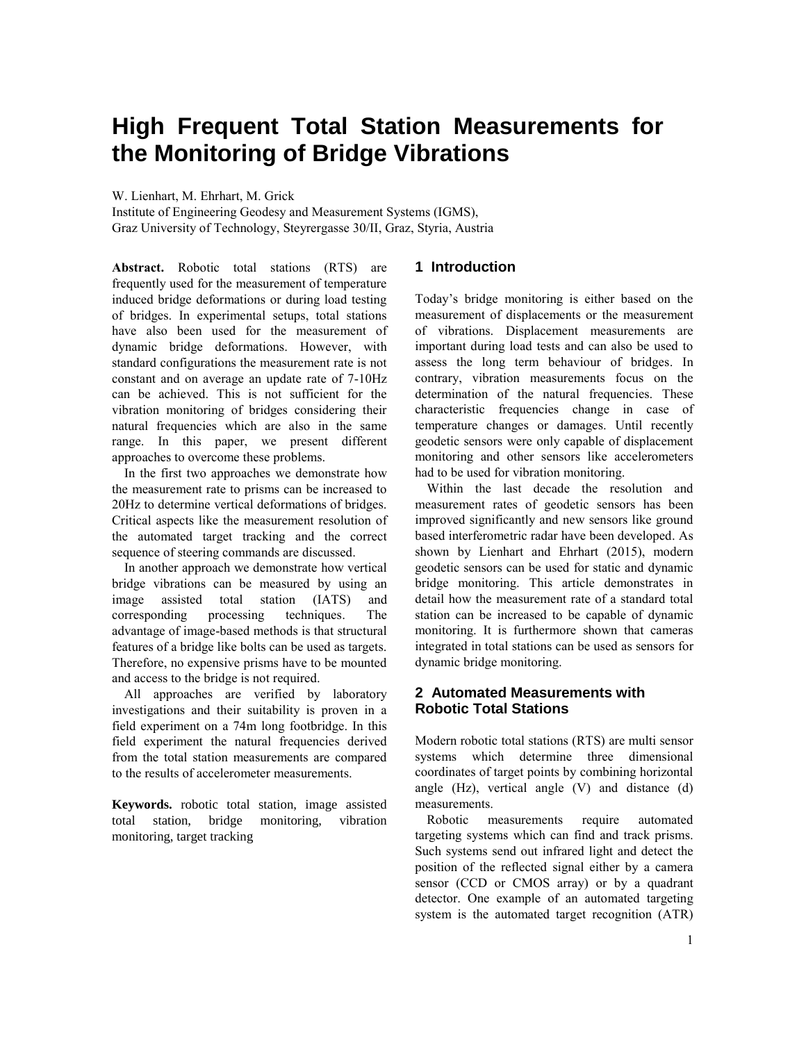# **High Frequent Total Station Measurements for the Monitoring of Bridge Vibrations**

W. Lienhart, M. Ehrhart, M. Grick

Institute of Engineering Geodesy and Measurement Systems (IGMS), Graz University of Technology, Steyrergasse 30/II, Graz, Styria, Austria

**Abstract.** Robotic total stations (RTS) are frequently used for the measurement of temperature induced bridge deformations or during load testing of bridges. In experimental setups, total stations have also been used for the measurement of dynamic bridge deformations. However, with standard configurations the measurement rate is not constant and on average an update rate of 7-10Hz can be achieved. This is not sufficient for the vibration monitoring of bridges considering their natural frequencies which are also in the same range. In this paper, we present different approaches to overcome these problems.

In the first two approaches we demonstrate how the measurement rate to prisms can be increased to 20Hz to determine vertical deformations of bridges. Critical aspects like the measurement resolution of the automated target tracking and the correct sequence of steering commands are discussed.

In another approach we demonstrate how vertical bridge vibrations can be measured by using an image assisted total station (IATS) and corresponding processing techniques. The advantage of image-based methods is that structural features of a bridge like bolts can be used as targets. Therefore, no expensive prisms have to be mounted and access to the bridge is not required.

All approaches are verified by laboratory investigations and their suitability is proven in a field experiment on a 74m long footbridge. In this field experiment the natural frequencies derived from the total station measurements are compared to the results of accelerometer measurements.

**Keywords.** robotic total station, image assisted total station, bridge monitoring, vibration monitoring, target tracking

## **1 Introduction**

Today's bridge monitoring is either based on the measurement of displacements or the measurement of vibrations. Displacement measurements are important during load tests and can also be used to assess the long term behaviour of bridges. In contrary, vibration measurements focus on the determination of the natural frequencies. These characteristic frequencies change in case of temperature changes or damages. Until recently geodetic sensors were only capable of displacement monitoring and other sensors like accelerometers had to be used for vibration monitoring.

Within the last decade the resolution and measurement rates of geodetic sensors has been improved significantly and new sensors like ground based interferometric radar have been developed. As shown by Lienhart and Ehrhart (2015), modern geodetic sensors can be used for static and dynamic bridge monitoring. This article demonstrates in detail how the measurement rate of a standard total station can be increased to be capable of dynamic monitoring. It is furthermore shown that cameras integrated in total stations can be used as sensors for dynamic bridge monitoring.

## **2 Automated Measurements with Robotic Total Stations**

Modern robotic total stations (RTS) are multi sensor systems which determine three dimensional coordinates of target points by combining horizontal angle (Hz), vertical angle (V) and distance (d) measurements.

Robotic measurements require automated targeting systems which can find and track prisms. Such systems send out infrared light and detect the position of the reflected signal either by a camera sensor (CCD or CMOS array) or by a quadrant detector. One example of an automated targeting system is the automated target recognition (ATR)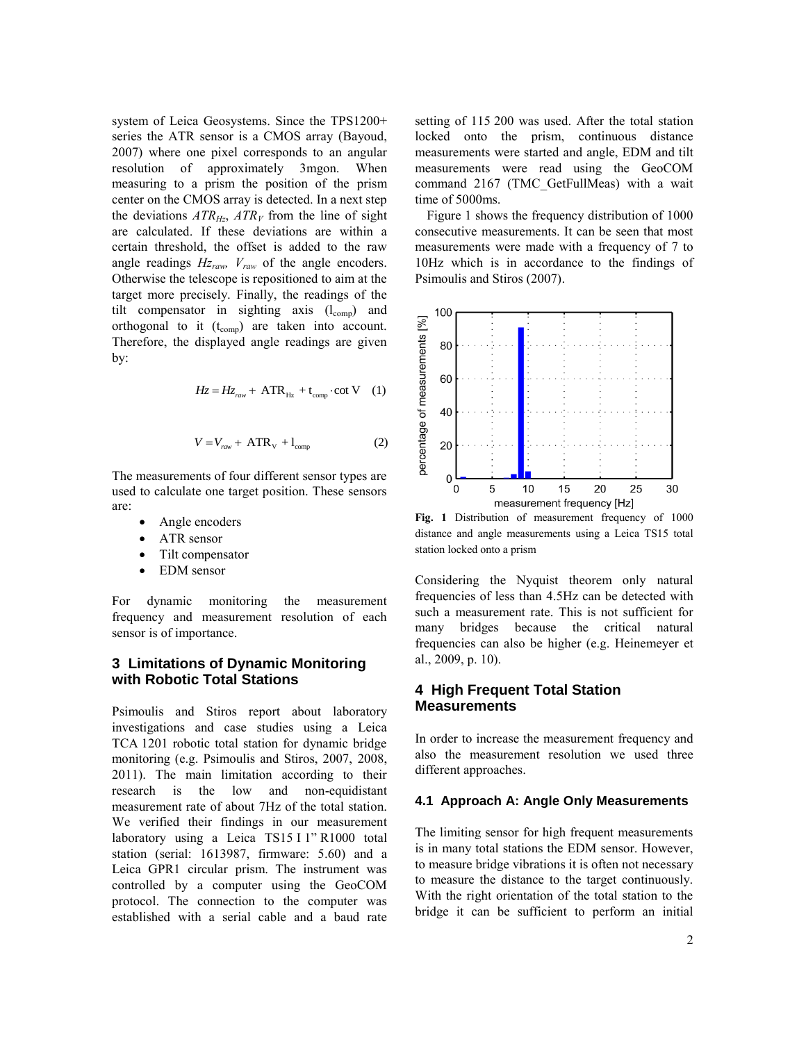system of Leica Geosystems. Since the TPS1200+ series the ATR sensor is a CMOS array (Bayoud, 2007) where one pixel corresponds to an angular resolution of approximately 3mgon. When measuring to a prism the position of the prism center on the CMOS array is detected. In a next step the deviations  $ATR<sub>Hz</sub>$ ,  $ATR<sub>V</sub>$  from the line of sight are calculated. If these deviations are within a certain threshold, the offset is added to the raw angle readings *Hzraw, Vraw* of the angle encoders. Otherwise the telescope is repositioned to aim at the target more precisely. Finally, the readings of the tilt compensator in sighting axis  $(l_{comp})$  and orthogonal to it  $(t_{comp})$  are taken into account. Therefore, the displayed angle readings are given by:

$$
Hz = Hz_{\text{raw}} + ATR_{\text{Hz}} + t_{\text{comp}} \cdot \cot V \quad (1)
$$

$$
V = V_{\text{raw}} + ATR_{\text{v}} + l_{\text{comp}} \tag{2}
$$

The measurements of four different sensor types are used to calculate one target position. These sensors are:

- Angle encoders
- ATR sensor
- Tilt compensator
- EDM sensor

For dynamic monitoring the measurement frequency and measurement resolution of each sensor is of importance.

### **3 Limitations of Dynamic Monitoring with Robotic Total Stations**

Psimoulis and Stiros report about laboratory investigations and case studies using a Leica TCA 1201 robotic total station for dynamic bridge monitoring (e.g. Psimoulis and Stiros, 2007, 2008, 2011). The main limitation according to their research is the low and non-equidistant measurement rate of about 7Hz of the total station. We verified their findings in our measurement laboratory using a Leica TS15 I 1" R1000 total station (serial: 1613987, firmware: 5.60) and a Leica GPR1 circular prism. The instrument was controlled by a computer using the GeoCOM protocol. The connection to the computer was established with a serial cable and a baud rate

setting of 115 200 was used. After the total station locked onto the prism, continuous distance measurements were started and angle, EDM and tilt measurements were read using the GeoCOM command 2167 (TMC\_GetFullMeas) with a wait time of 5000ms.

Figure 1 shows the frequency distribution of 1000 consecutive measurements. It can be seen that most measurements were made with a frequency of 7 to 10Hz which is in accordance to the findings of Psimoulis and Stiros (2007).



**Fig. 1** Distribution of measurement frequency of 1000 distance and angle measurements using a Leica TS15 total station locked onto a prism

Considering the Nyquist theorem only natural frequencies of less than 4.5Hz can be detected with such a measurement rate. This is not sufficient for many bridges because the critical natural frequencies can also be higher (e.g. Heinemeyer et al., 2009, p. 10).

#### **4 High Frequent Total Station Measurements**

In order to increase the measurement frequency and also the measurement resolution we used three different approaches.

#### **4.1 Approach A: Angle Only Measurements**

The limiting sensor for high frequent measurements is in many total stations the EDM sensor. However, to measure bridge vibrations it is often not necessary to measure the distance to the target continuously. With the right orientation of the total station to the bridge it can be sufficient to perform an initial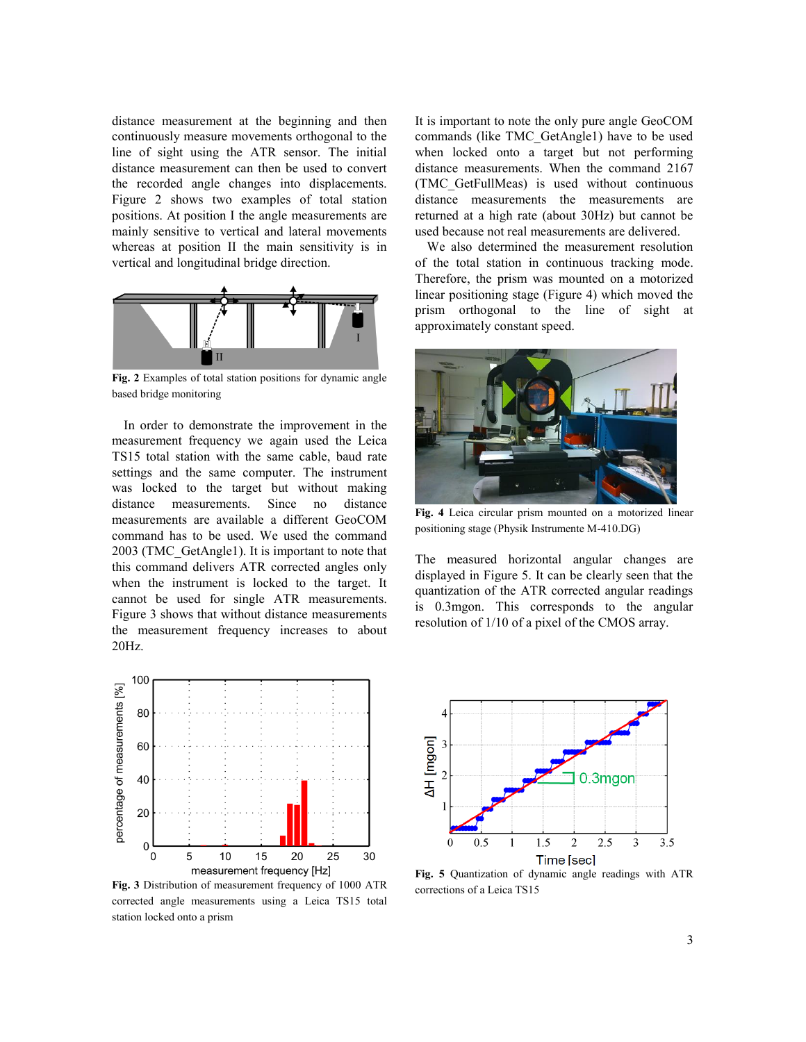distance measurement at the beginning and then continuously measure movements orthogonal to the line of sight using the ATR sensor. The initial distance measurement can then be used to convert the recorded angle changes into displacements. Figure 2 shows two examples of total station positions. At position I the angle measurements are mainly sensitive to vertical and lateral movements whereas at position II the main sensitivity is in vertical and longitudinal bridge direction.



**Fig. 2** Examples of total station positions for dynamic angle based bridge monitoring

In order to demonstrate the improvement in the measurement frequency we again used the Leica TS15 total station with the same cable, baud rate settings and the same computer. The instrument was locked to the target but without making distance measurements. Since no distance measurements are available a different GeoCOM command has to be used. We used the command 2003 (TMC\_GetAngle1). It is important to note that this command delivers ATR corrected angles only when the instrument is locked to the target. It cannot be used for single ATR measurements. Figure 3 shows that without distance measurements the measurement frequency increases to about 20Hz.



**Fig. 3** Distribution of measurement frequency of 1000 ATR corrected angle measurements using a Leica TS15 total station locked onto a prism

It is important to note the only pure angle GeoCOM commands (like TMC\_GetAngle1) have to be used when locked onto a target but not performing distance measurements. When the command 2167 (TMC\_GetFullMeas) is used without continuous distance measurements the measurements are returned at a high rate (about 30Hz) but cannot be used because not real measurements are delivered.

We also determined the measurement resolution of the total station in continuous tracking mode. Therefore, the prism was mounted on a motorized linear positioning stage (Figure 4) which moved the prism orthogonal to the line of sight at approximately constant speed.



**Fig. 4** Leica circular prism mounted on a motorized linear positioning stage (Physik Instrumente M-410.DG)

The measured horizontal angular changes are displayed in Figure 5. It can be clearly seen that the quantization of the ATR corrected angular readings is 0.3mgon. This corresponds to the angular resolution of 1/10 of a pixel of the CMOS array.



**Fig. 5** Quantization of dynamic angle readings with ATR corrections of a Leica TS15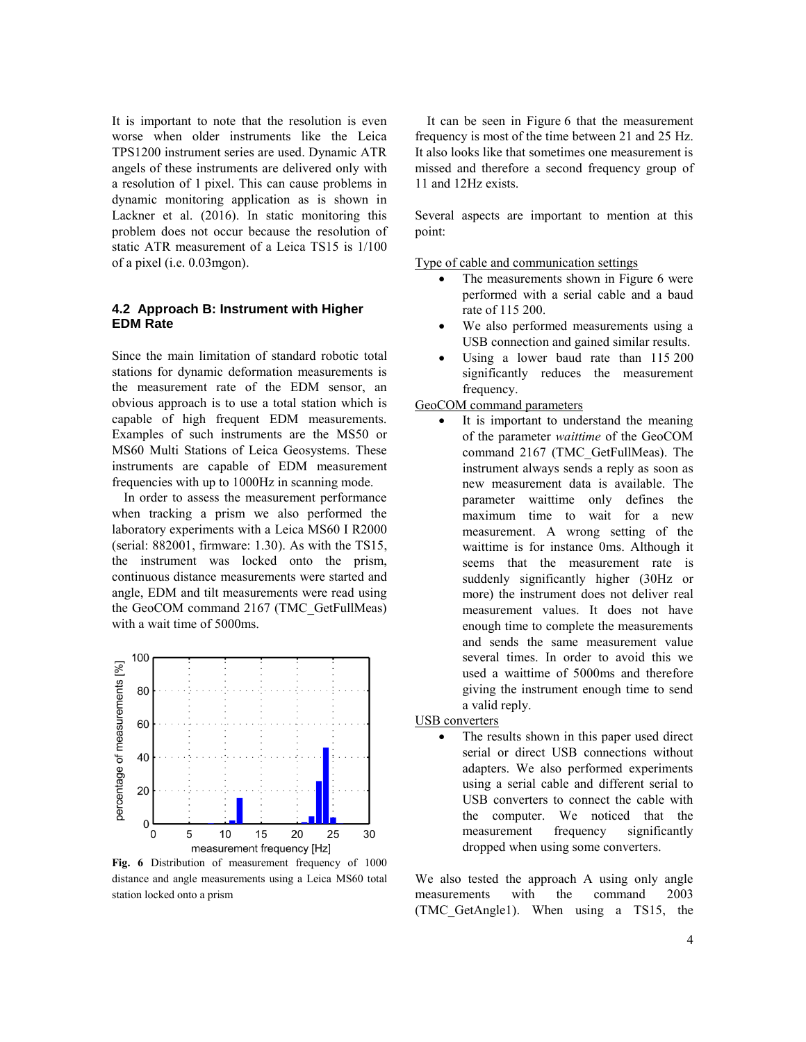It is important to note that the resolution is even worse when older instruments like the Leica TPS1200 instrument series are used. Dynamic ATR angels of these instruments are delivered only with a resolution of 1 pixel. This can cause problems in dynamic monitoring application as is shown in Lackner et al. (2016). In static monitoring this problem does not occur because the resolution of static ATR measurement of a Leica TS15 is 1/100 of a pixel (i.e. 0.03mgon).

#### **4.2 Approach B: Instrument with Higher EDM Rate**

Since the main limitation of standard robotic total stations for dynamic deformation measurements is the measurement rate of the EDM sensor, an obvious approach is to use a total station which is capable of high frequent EDM measurements. Examples of such instruments are the MS50 or MS60 Multi Stations of Leica Geosystems. These instruments are capable of EDM measurement frequencies with up to 1000Hz in scanning mode.

In order to assess the measurement performance when tracking a prism we also performed the laboratory experiments with a Leica MS60 I R2000 (serial: 882001, firmware: 1.30). As with the TS15, the instrument was locked onto the prism, continuous distance measurements were started and angle, EDM and tilt measurements were read using the GeoCOM command 2167 (TMC\_GetFullMeas) with a wait time of 5000ms.



**Fig. 6** Distribution of measurement frequency of 1000 distance and angle measurements using a Leica MS60 total station locked onto a prism

It can be seen in Figure 6 that the measurement frequency is most of the time between 21 and 25 Hz. It also looks like that sometimes one measurement is missed and therefore a second frequency group of 11 and 12Hz exists.

Several aspects are important to mention at this point:

Type of cable and communication settings

- The measurements shown in Figure 6 were performed with a serial cable and a baud rate of 115 200.
- We also performed measurements using a USB connection and gained similar results.
- Using a lower baud rate than 115 200 significantly reduces the measurement frequency.

#### GeoCOM command parameters

 It is important to understand the meaning of the parameter *waittime* of the GeoCOM command 2167 (TMC\_GetFullMeas). The instrument always sends a reply as soon as new measurement data is available. The parameter waittime only defines the maximum time to wait for a new measurement. A wrong setting of the waittime is for instance 0ms. Although it seems that the measurement rate is suddenly significantly higher (30Hz or more) the instrument does not deliver real measurement values. It does not have enough time to complete the measurements and sends the same measurement value several times. In order to avoid this we used a waittime of 5000ms and therefore giving the instrument enough time to send a valid reply.

#### USB converters

 The results shown in this paper used direct serial or direct USB connections without adapters. We also performed experiments using a serial cable and different serial to USB converters to connect the cable with the computer. We noticed that the measurement frequency significantly dropped when using some converters.

We also tested the approach A using only angle measurements with the command 2003 (TMC\_GetAngle1). When using a TS15, the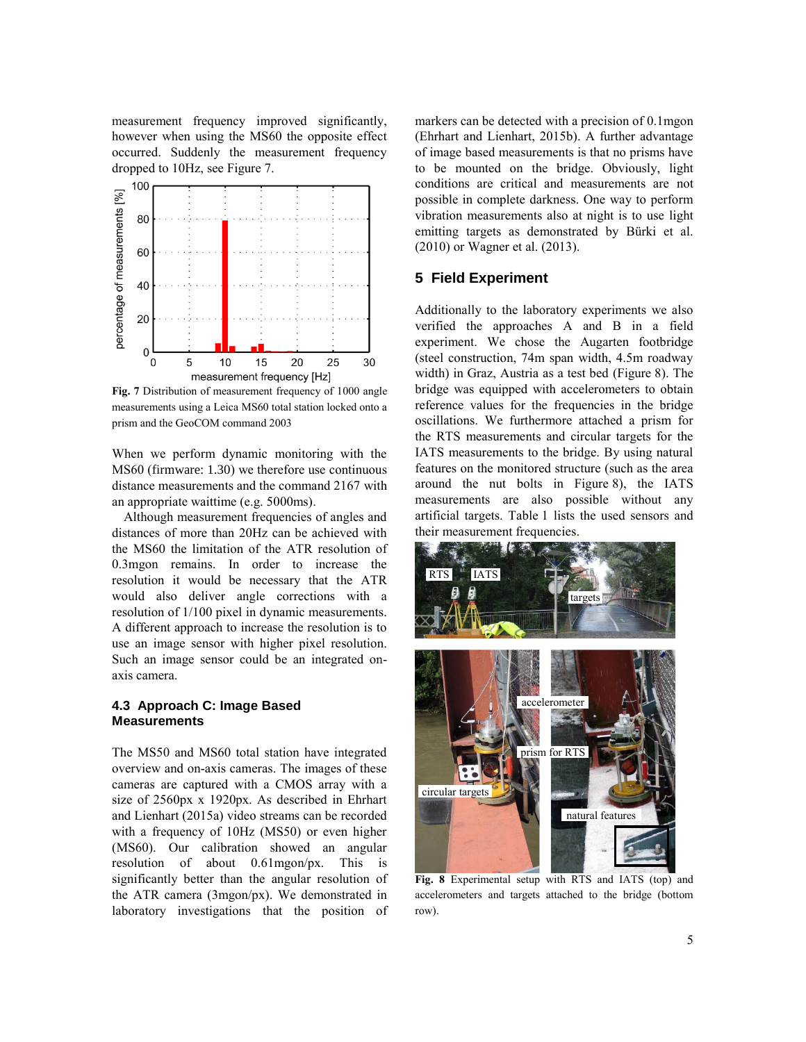measurement frequency improved significantly, however when using the MS60 the opposite effect occurred. Suddenly the measurement frequency dropped to 10Hz, see Figure 7.



**Fig. 7** Distribution of measurement frequency of 1000 angle measurements using a Leica MS60 total station locked onto a prism and the GeoCOM command 2003

When we perform dynamic monitoring with the MS60 (firmware: 1.30) we therefore use continuous distance measurements and the command 2167 with an appropriate waittime (e.g. 5000ms).

Although measurement frequencies of angles and distances of more than 20Hz can be achieved with the MS60 the limitation of the ATR resolution of 0.3mgon remains. In order to increase the resolution it would be necessary that the ATR would also deliver angle corrections with a resolution of 1/100 pixel in dynamic measurements. A different approach to increase the resolution is to use an image sensor with higher pixel resolution. Such an image sensor could be an integrated onaxis camera.

#### **4.3 Approach C: Image Based Measurements**

The MS50 and MS60 total station have integrated overview and on-axis cameras. The images of these cameras are captured with a CMOS array with a size of 2560px x 1920px. As described in Ehrhart and Lienhart (2015a) video streams can be recorded with a frequency of 10Hz (MS50) or even higher (MS60). Our calibration showed an angular resolution of about 0.61mgon/px. This is significantly better than the angular resolution of the ATR camera (3mgon/px). We demonstrated in laboratory investigations that the position of markers can be detected with a precision of 0.1mgon (Ehrhart and Lienhart, 2015b). A further advantage of image based measurements is that no prisms have to be mounted on the bridge. Obviously, light conditions are critical and measurements are not possible in complete darkness. One way to perform vibration measurements also at night is to use light emitting targets as demonstrated by Bürki et al. (2010) or Wagner et al. (2013).

#### **5 Field Experiment**

Additionally to the laboratory experiments we also verified the approaches A and B in a field experiment. We chose the Augarten footbridge (steel construction, 74m span width, 4.5m roadway width) in Graz, Austria as a test bed (Figure 8). The bridge was equipped with accelerometers to obtain reference values for the frequencies in the bridge oscillations. We furthermore attached a prism for the RTS measurements and circular targets for the IATS measurements to the bridge. By using natural features on the monitored structure (such as the area around the nut bolts in Figure 8), the IATS measurements are also possible without any artificial targets. Table 1 lists the used sensors and their measurement frequencies.



**Fig. 8** Experimental setup with RTS and IATS (top) and accelerometers and targets attached to the bridge (bottom row).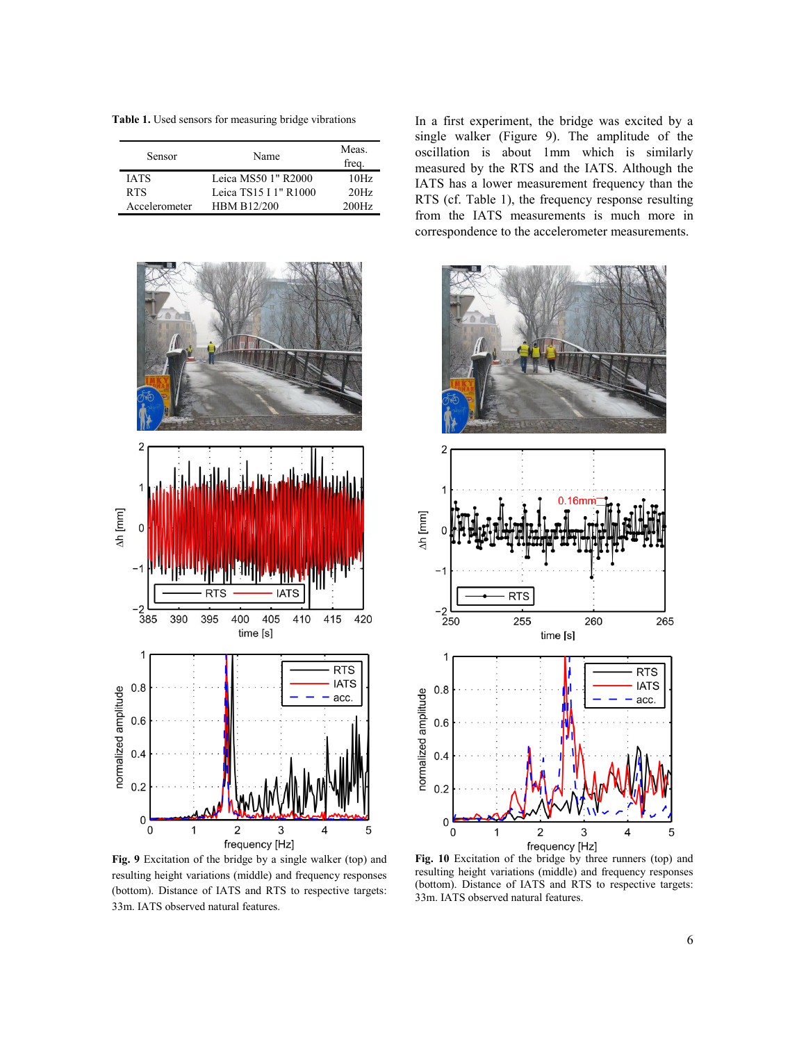**Table 1.** Used sensors for measuring bridge vibrations

| Sensor        | Name                  | Meas.<br>freq. |
|---------------|-----------------------|----------------|
| <b>IATS</b>   | Leica MS50 1" R2000   | 10Hz           |
| <b>RTS</b>    | Leica TS15 I 1" R1000 | 20Hz           |
| Accelerometer | <b>HBM B12/200</b>    | 200Hz          |



**Fig. 9** Excitation of the bridge by a single walker (top) and resulting height variations (middle) and frequency responses (bottom). Distance of IATS and RTS to respective targets: 33m. IATS observed natural features.

In a first experiment, the bridge was excited by a single walker (Figure 9). The amplitude of the oscillation is about 1mm which is similarly measured by the RTS and the IATS. Although the IATS has a lower measurement frequency than the RTS (cf. Table 1), the frequency response resulting from the IATS measurements is much more in correspondence to the accelerometer measurements.



**Fig. 10** Excitation of the bridge by three runners (top) and resulting height variations (middle) and frequency responses (bottom). Distance of IATS and RTS to respective targets: 33m. IATS observed natural features.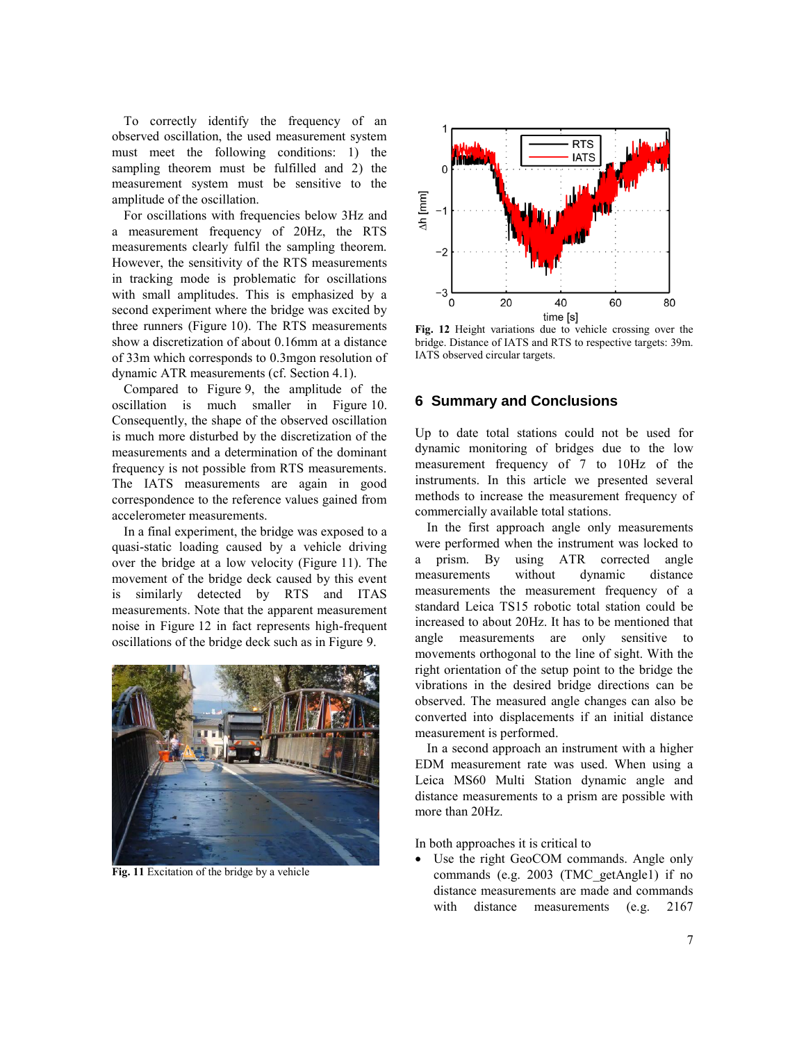To correctly identify the frequency of an observed oscillation, the used measurement system must meet the following conditions: 1) the sampling theorem must be fulfilled and 2) the measurement system must be sensitive to the amplitude of the oscillation.

For oscillations with frequencies below 3Hz and a measurement frequency of 20Hz, the RTS measurements clearly fulfil the sampling theorem. However, the sensitivity of the RTS measurements in tracking mode is problematic for oscillations with small amplitudes. This is emphasized by a second experiment where the bridge was excited by three runners (Figure 10). The RTS measurements show a discretization of about 0.16mm at a distance of 33m which corresponds to 0.3mgon resolution of dynamic ATR measurements (cf. Section 4.1).

Compared to Figure 9, the amplitude of the oscillation is much smaller in Figure 10. Consequently, the shape of the observed oscillation is much more disturbed by the discretization of the measurements and a determination of the dominant frequency is not possible from RTS measurements. The IATS measurements are again in good correspondence to the reference values gained from accelerometer measurements.

In a final experiment, the bridge was exposed to a quasi-static loading caused by a vehicle driving over the bridge at a low velocity (Figure 11). The movement of the bridge deck caused by this event is similarly detected by RTS and ITAS measurements. Note that the apparent measurement noise in Figure 12 in fact represents high-frequent oscillations of the bridge deck such as in Figure 9.



**Fig. 11** Excitation of the bridge by a vehicle



**Fig. 12** Height variations due to vehicle crossing over the bridge. Distance of IATS and RTS to respective targets: 39m. IATS observed circular targets.

### **6 Summary and Conclusions**

Up to date total stations could not be used for dynamic monitoring of bridges due to the low measurement frequency of 7 to 10Hz of the instruments. In this article we presented several methods to increase the measurement frequency of commercially available total stations.

In the first approach angle only measurements were performed when the instrument was locked to a prism. By using ATR corrected angle measurements without dynamic distance measurements the measurement frequency of a standard Leica TS15 robotic total station could be increased to about 20Hz. It has to be mentioned that angle measurements are only sensitive to movements orthogonal to the line of sight. With the right orientation of the setup point to the bridge the vibrations in the desired bridge directions can be observed. The measured angle changes can also be converted into displacements if an initial distance measurement is performed.

In a second approach an instrument with a higher EDM measurement rate was used. When using a Leica MS60 Multi Station dynamic angle and distance measurements to a prism are possible with more than 20Hz.

In both approaches it is critical to

 Use the right GeoCOM commands. Angle only commands (e.g. 2003 (TMC\_getAngle1) if no distance measurements are made and commands with distance measurements (e.g. 2167)